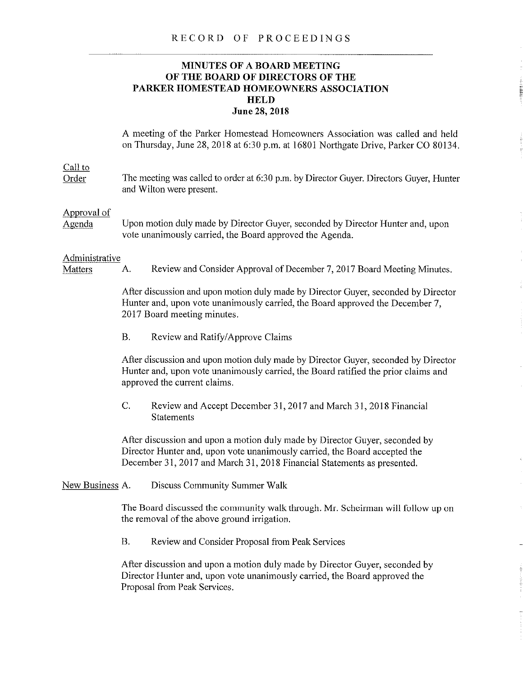## RECORD OF PROCEEDINGS

## **MINUTES OF A BOARD MEETING OF THE BOARD OF DIRECTORS OF THE PARKER HOMESTEAD HOMEOWNERS ASSOCIATION HELD June 28,2018**

A meeting of the Parker Homestead Homeowners Association was called and held on Thursday, June 28, 2018 at 6:30 p.m. at 16801 Northgate Drive, Parker CO 80134.

# Call to

Order The meeting was called to order at 6:30 p.m. by Director Guyer. Directors Guyer, Hunter and Wilton were present.

#### Approval of

Agenda Upon motion duly made by Director Guyer, seconded by Director Hunter and, upon vote unanimously carried, the Board approved the Agenda.

#### Administrative

Matters A. Review and Consider Approval of December 7, 2017 Board Meeting Minutes.

After discussion and upon motion duly made by Director Guyer, seconded by Director Hunter and, upon vote unanimously carried, the Board approved the December 7, 2017 Board meeting minutes.

B. Review and Ratify/Approve Claims

After discussion and upon motion duly made by Director Guyer, seconded by Director Hunter and, upon vote unanimously carried, the Board ratified the prior claims and approved the current claims.

C. Review and Accept December 31, 2017 and March31, 2018 Financial **Statements** 

After discussion and upon a motion duly made by Director Guyer, seconded by Director Hunter and, upon vote unanimously carried, the Board accepted the December 31, 2017 and March 31, 2018 Financial Statements as presented.

#### New Business A. Discuss Community Summer Walk

The Board discussed the community walk through. Mr. Scheirman will follow up on the removal of the above ground irrigation.

B. Review and Consider Proposal from Peak Services

After discussion and upon a motion duly made by Director Guyer, seconded by Director Hunter and, upon vote unanimously carried, the Board approved the Proposal from Peak Services.